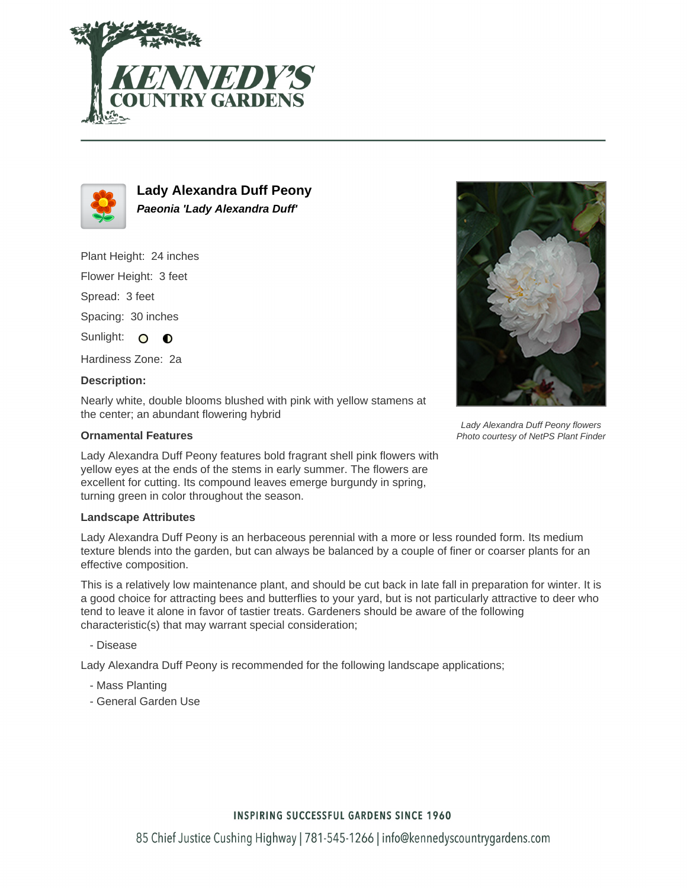



**Lady Alexandra Duff Peony Paeonia 'Lady Alexandra Duff'**

Plant Height: 24 inches

Flower Height: 3 feet

Spread: 3 feet

Spacing: 30 inches

Sunlight: O  $\bullet$ 

Hardiness Zone: 2a

## **Description:**

Nearly white, double blooms blushed with pink with yellow stamens at the center; an abundant flowering hybrid

## **Ornamental Features**

Lady Alexandra Duff Peony features bold fragrant shell pink flowers with yellow eyes at the ends of the stems in early summer. The flowers are excellent for cutting. Its compound leaves emerge burgundy in spring, turning green in color throughout the season.

#### **Landscape Attributes**

Lady Alexandra Duff Peony is an herbaceous perennial with a more or less rounded form. Its medium texture blends into the garden, but can always be balanced by a couple of finer or coarser plants for an effective composition.

This is a relatively low maintenance plant, and should be cut back in late fall in preparation for winter. It is a good choice for attracting bees and butterflies to your yard, but is not particularly attractive to deer who tend to leave it alone in favor of tastier treats. Gardeners should be aware of the following characteristic(s) that may warrant special consideration;

- Disease

Lady Alexandra Duff Peony is recommended for the following landscape applications;

- Mass Planting
- General Garden Use



Lady Alexandra Duff Peony flowers Photo courtesy of NetPS Plant Finder

## **INSPIRING SUCCESSFUL GARDENS SINCE 1960**

85 Chief Justice Cushing Highway | 781-545-1266 | info@kennedyscountrygardens.com